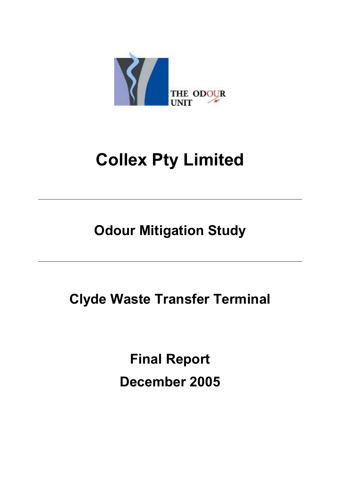

# **Collex Pty Limited**

**Odour Mitigation Study** 

**Clyde Waste Transfer Terminal** 

**Final Report December 2005**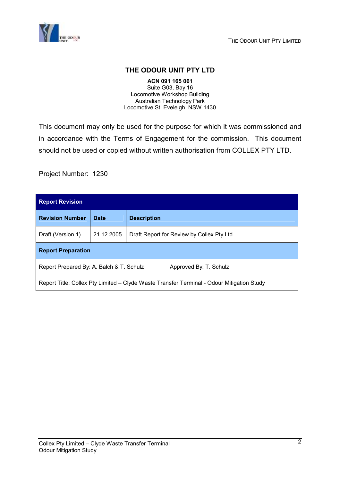

#### **THE ODOUR UNIT PTY LTD**

**ACN 091 165 061**  Suite G03, Bay 16 Locomotive Workshop Building Australian Technology Park Locomotive St, Eveleigh, NSW 1430

This document may only be used for the purpose for which it was commissioned and in accordance with the Terms of Engagement for the commission. This document should not be used or copied without written authorisation from COLLEX PTY LTD.

Project Number: 1230

| <b>Report Revision</b>                                                                    |             |                                           |  |  |  |  |
|-------------------------------------------------------------------------------------------|-------------|-------------------------------------------|--|--|--|--|
| <b>Revision Number</b>                                                                    | <b>Date</b> | <b>Description</b>                        |  |  |  |  |
| Draft (Version 1)                                                                         | 21.12.2005  | Draft Report for Review by Collex Pty Ltd |  |  |  |  |
| <b>Report Preparation</b>                                                                 |             |                                           |  |  |  |  |
| Report Prepared By: A. Balch & T. Schulz<br>Approved By: T. Schulz                        |             |                                           |  |  |  |  |
| Report Title: Collex Pty Limited - Clyde Waste Transfer Terminal - Odour Mitigation Study |             |                                           |  |  |  |  |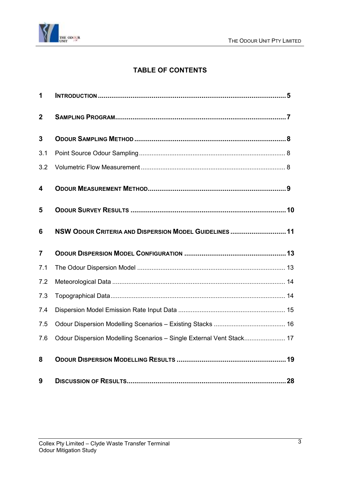

### **TABLE OF CONTENTS**

| 1              |                                                                      |  |
|----------------|----------------------------------------------------------------------|--|
| $\overline{2}$ |                                                                      |  |
| 3              |                                                                      |  |
| 3.1            |                                                                      |  |
| 3.2            |                                                                      |  |
| 4              |                                                                      |  |
| 5              |                                                                      |  |
| 6              | NSW ODOUR CRITERIA AND DISPERSION MODEL GUIDELINES  11               |  |
|                |                                                                      |  |
| $\overline{7}$ |                                                                      |  |
| 7.1            |                                                                      |  |
| 7.2            |                                                                      |  |
| 7.3            |                                                                      |  |
| 7.4            |                                                                      |  |
| 7.5            |                                                                      |  |
| 7.6            | Odour Dispersion Modelling Scenarios - Single External Vent Stack 17 |  |
| 8              |                                                                      |  |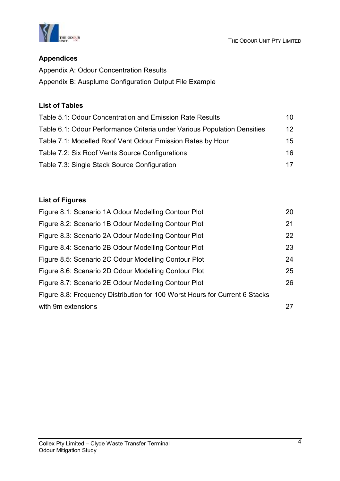



#### **Appendices**

Appendix A: Odour Concentration Results Appendix B: Ausplume Configuration Output File Example

#### **List of Tables**

| Table 5.1: Odour Concentration and Emission Rate Results                 | 10              |
|--------------------------------------------------------------------------|-----------------|
| Table 6.1: Odour Performance Criteria under Various Population Densities | 12 <sup>°</sup> |
| Table 7.1: Modelled Roof Vent Odour Emission Rates by Hour               | 15.             |
| Table 7.2: Six Roof Vents Source Configurations                          | 16.             |
| Table 7.3: Single Stack Source Configuration                             | 17              |

### **List of Figures**

| Figure 8.1: Scenario 1A Odour Modelling Contour Plot                        | 20 |
|-----------------------------------------------------------------------------|----|
| Figure 8.2: Scenario 1B Odour Modelling Contour Plot                        | 21 |
| Figure 8.3: Scenario 2A Odour Modelling Contour Plot                        | 22 |
| Figure 8.4: Scenario 2B Odour Modelling Contour Plot                        | 23 |
| Figure 8.5: Scenario 2C Odour Modelling Contour Plot                        | 24 |
| Figure 8.6: Scenario 2D Odour Modelling Contour Plot                        | 25 |
| Figure 8.7: Scenario 2E Odour Modelling Contour Plot                        | 26 |
| Figure 8.8: Frequency Distribution for 100 Worst Hours for Current 6 Stacks |    |
| with 9m extensions                                                          | 27 |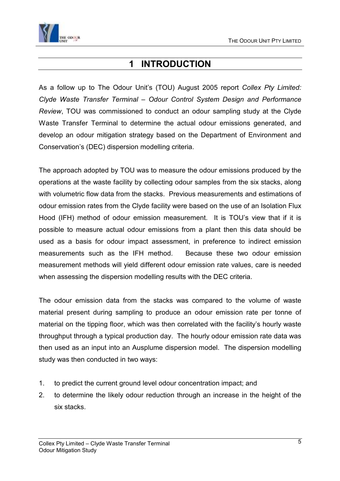<span id="page-4-0"></span>

## **1 INTRODUCTION**

As a follow up to The Odour Unit's (TOU) August 2005 report *Collex Pty Limited: Clyde Waste Transfer Terminal – Odour Control System Design and Performance Review*, TOU was commissioned to conduct an odour sampling study at the Clyde Waste Transfer Terminal to determine the actual odour emissions generated, and develop an odour mitigation strategy based on the Department of Environment and Conservation's (DEC) dispersion modelling criteria.

The approach adopted by TOU was to measure the odour emissions produced by the operations at the waste facility by collecting odour samples from the six stacks, along with volumetric flow data from the stacks. Previous measurements and estimations of odour emission rates from the Clyde facility were based on the use of an Isolation Flux Hood (IFH) method of odour emission measurement. It is TOU's view that if it is possible to measure actual odour emissions from a plant then this data should be used as a basis for odour impact assessment, in preference to indirect emission measurements such as the IFH method. Because these two odour emission measurement methods will yield different odour emission rate values, care is needed when assessing the dispersion modelling results with the DEC criteria.

The odour emission data from the stacks was compared to the volume of waste material present during sampling to produce an odour emission rate per tonne of material on the tipping floor, which was then correlated with the facility's hourly waste throughput through a typical production day. The hourly odour emission rate data was then used as an input into an Ausplume dispersion model. The dispersion modelling study was then conducted in two ways:

- 1. to predict the current ground level odour concentration impact; and
- 2. to determine the likely odour reduction through an increase in the height of the six stacks.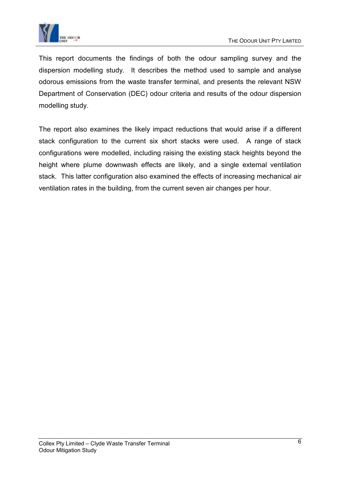

This report documents the findings of both the odour sampling survey and the dispersion modelling study. It describes the method used to sample and analyse odorous emissions from the waste transfer terminal, and presents the relevant NSW Department of Conservation (DEC) odour criteria and results of the odour dispersion modelling study.

The report also examines the likely impact reductions that would arise if a different stack configuration to the current six short stacks were used. A range of stack configurations were modelled, including raising the existing stack heights beyond the height where plume downwash effects are likely, and a single external ventilation stack. This latter configuration also examined the effects of increasing mechanical air ventilation rates in the building, from the current seven air changes per hour.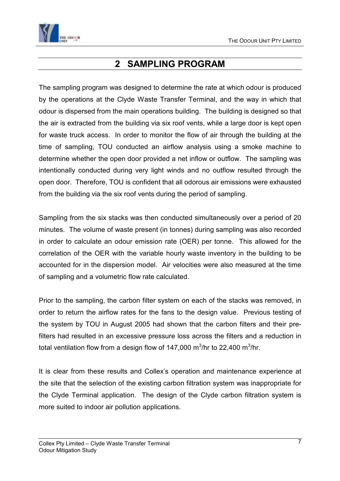<span id="page-6-0"></span>

## **2 SAMPLING PROGRAM**

The sampling program was designed to determine the rate at which odour is produced by the operations at the Clyde Waste Transfer Terminal, and the way in which that odour is dispersed from the main operations building. The building is designed so that the air is extracted from the building via six roof vents, while a large door is kept open for waste truck access. In order to monitor the flow of air through the building at the time of sampling, TOU conducted an airflow analysis using a smoke machine to determine whether the open door provided a net inflow or outflow. The sampling was intentionally conducted during very light winds and no outflow resulted through the open door. Therefore, TOU is confident that all odorous air emissions were exhausted from the building via the six roof vents during the period of sampling.

Sampling from the six stacks was then conducted simultaneously over a period of 20 minutes. The volume of waste present (in tonnes) during sampling was also recorded in order to calculate an odour emission rate (OER) per tonne. This allowed for the correlation of the OER with the variable hourly waste inventory in the building to be accounted for in the dispersion model. Air velocities were also measured at the time of sampling and a volumetric flow rate calculated.

Prior to the sampling, the carbon filter system on each of the stacks was removed, in order to return the airflow rates for the fans to the design value. Previous testing of the system by TOU in August 2005 had shown that the carbon filters and their prefilters had resulted in an excessive pressure loss across the filters and a reduction in total ventilation flow from a design flow of 147,000 m<sup>3</sup>/hr to 22,400 m<sup>3</sup>/hr.

It is clear from these results and Collex's operation and maintenance experience at the site that the selection of the existing carbon filtration system was inappropriate for the Clyde Terminal application. The design of the Clyde carbon filtration system is more suited to indoor air pollution applications.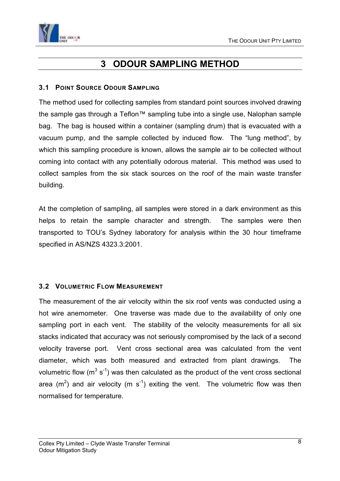<span id="page-7-0"></span>

## **3 ODOUR SAMPLING METHOD**

#### **3.1 POINT SOURCE ODOUR SAMPLING**

The method used for collecting samples from standard point sources involved drawing the sample gas through a Teflon™ sampling tube into a single use, Nalophan sample bag. The bag is housed within a container (sampling drum) that is evacuated with a vacuum pump, and the sample collected by induced flow. The "lung method", by which this sampling procedure is known, allows the sample air to be collected without coming into contact with any potentially odorous material. This method was used to collect samples from the six stack sources on the roof of the main waste transfer building.

At the completion of sampling, all samples were stored in a dark environment as this helps to retain the sample character and strength. The samples were then transported to TOU's Sydney laboratory for analysis within the 30 hour timeframe specified in AS/NZS 4323.3:2001.

#### **3.2 VOLUMETRIC FLOW MEASUREMENT**

The measurement of the air velocity within the six roof vents was conducted using a hot wire anemometer. One traverse was made due to the availability of only one sampling port in each vent. The stability of the velocity measurements for all six stacks indicated that accuracy was not seriously compromised by the lack of a second velocity traverse port. Vent cross sectional area was calculated from the vent diameter, which was both measured and extracted from plant drawings. The volumetric flow  $(m^3 s^{-1})$  was then calculated as the product of the vent cross sectional area (m<sup>2</sup>) and air velocity (m s<sup>-1</sup>) exiting the vent. The volumetric flow was then normalised for temperature.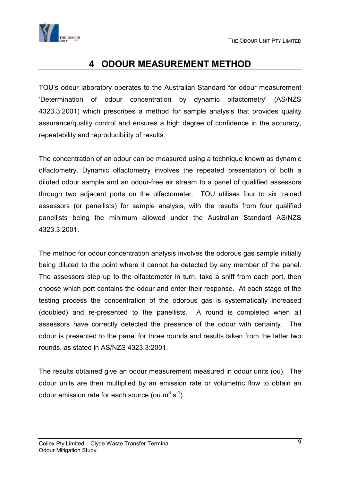<span id="page-8-0"></span>

## **4 ODOUR MEASUREMENT METHOD**

TOU's odour laboratory operates to the Australian Standard for odour measurement 'Determination of odour concentration by dynamic olfactometry' (AS/NZS 4323.3:2001) which prescribes a method for sample analysis that provides quality assurance/quality control and ensures a high degree of confidence in the accuracy, repeatability and reproducibility of results.

The concentration of an odour can be measured using a technique known as dynamic olfactometry. Dynamic olfactometry involves the repeated presentation of both a diluted odour sample and an odour-free air stream to a panel of qualified assessors through two adjacent ports on the olfactometer. TOU utilises four to six trained assessors (or panellists) for sample analysis, with the results from four qualified panellists being the minimum allowed under the Australian Standard AS/NZS 4323.3:2001.

The method for odour concentration analysis involves the odorous gas sample initially being diluted to the point where it cannot be detected by any member of the panel. The assessors step up to the olfactometer in turn, take a sniff from each port, then choose which port contains the odour and enter their response. At each stage of the testing process the concentration of the odorous gas is systematically increased (doubled) and re-presented to the panellists. A round is completed when all assessors have correctly detected the presence of the odour with certainty. The odour is presented to the panel for three rounds and results taken from the latter two rounds, as stated in AS/NZS 4323.3:2001.

The results obtained give an odour measurement measured in odour units (ou). The odour units are then multiplied by an emission rate or volumetric flow to obtain an odour emission rate for each source (ou.m<sup>3</sup> s<sup>-1</sup>).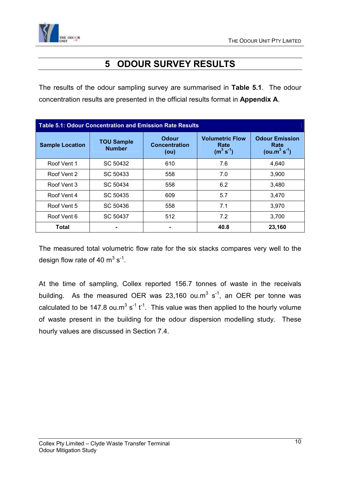<span id="page-9-0"></span>

## **5 ODOUR SURVEY RESULTS**

The results of the odour sampling survey are summarised in **Table 5.1**. The odour concentration results are presented in the official results format in **Appendix A**.

| <b>Table 5.1: Odour Concentration and Emission Rate Results</b> |                                    |                                       |                                                  |                                                |  |  |  |
|-----------------------------------------------------------------|------------------------------------|---------------------------------------|--------------------------------------------------|------------------------------------------------|--|--|--|
| <b>Sample Location</b>                                          | <b>TOU Sample</b><br><b>Number</b> | Odour<br><b>Concentration</b><br>(ou) | <b>Volumetric Flow</b><br>Rate<br>$(m^3 s^{-1})$ | <b>Odour Emission</b><br>Rate<br>$(ou.m3 s-1)$ |  |  |  |
| Roof Vent 1                                                     | SC 50432                           | 610                                   | 7.6                                              | 4.640                                          |  |  |  |
| Roof Vent 2                                                     | SC 50433                           | 558                                   | 7.0                                              | 3,900                                          |  |  |  |
| Roof Vent 3                                                     | SC 50434                           | 558                                   | 6.2                                              | 3,480                                          |  |  |  |
| Roof Vent 4                                                     | SC 50435                           | 609                                   | 5.7                                              | 3,470                                          |  |  |  |
| Roof Vent 5                                                     | SC 50436                           | 558                                   | 7.1                                              | 3.970                                          |  |  |  |
| Roof Vent 6                                                     | SC 50437                           | 512                                   | 7.2                                              | 3.700                                          |  |  |  |
| Total                                                           |                                    |                                       | 40.8                                             | 23,160                                         |  |  |  |

The measured total volumetric flow rate for the six stacks compares very well to the design flow rate of 40  $\mathrm{m}^3$  s<sup>-1</sup>.

At the time of sampling, Collex reported 156.7 tonnes of waste in the receivals building. As the measured OER was  $23,160$  ou.m<sup>3</sup> s<sup>-1</sup>, an OER per tonne was calculated to be 147.8 ou.m<sup>3</sup> s<sup>-1</sup> t<sup>-1</sup>. This value was then applied to the hourly volume of waste present in the building for the odour dispersion modelling study. These hourly values are discussed in Section 7.4.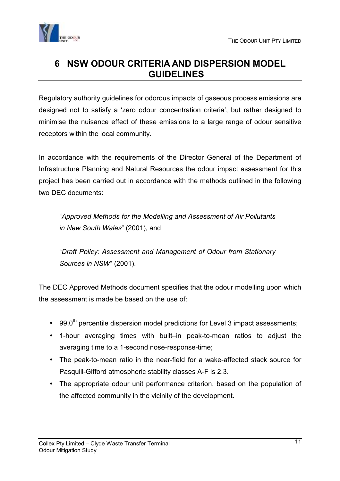<span id="page-10-0"></span>

## **6 NSW ODOUR CRITERIA AND DISPERSION MODEL GUIDELINES**

Regulatory authority guidelines for odorous impacts of gaseous process emissions are designed not to satisfy a 'zero odour concentration criteria', but rather designed to minimise the nuisance effect of these emissions to a large range of odour sensitive receptors within the local community.

In accordance with the requirements of the Director General of the Department of Infrastructure Planning and Natural Resources the odour impact assessment for this project has been carried out in accordance with the methods outlined in the following two DEC documents:

"*Approved Methods for the Modelling and Assessment of Air Pollutants in New South Wales*" (2001), and

"*Draft Policy: Assessment and Management of Odour from Stationary Sources in NSW*" (2001).

The DEC Approved Methods document specifies that the odour modelling upon which the assessment is made be based on the use of:

- $\cdot$  99.0<sup>th</sup> percentile dispersion model predictions for Level 3 impact assessments;
- 1-hour averaging times with built–in peak-to-mean ratios to adjust the averaging time to a 1-second nose-response-time;
- The peak-to-mean ratio in the near-field for a wake-affected stack source for Pasquill-Gifford atmospheric stability classes A-F is 2.3.
- The appropriate odour unit performance criterion, based on the population of the affected community in the vicinity of the development.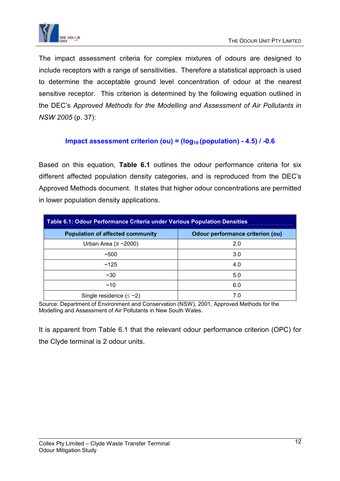

The impact assessment criteria for complex mixtures of odours are designed to include receptors with a range of sensitivities. Therefore a statistical approach is used to determine the acceptable ground level concentration of odour at the nearest sensitive receptor. This criterion is determined by the following equation outlined in the DEC's *Approved Methods for the Modelling and Assessment of Air Pollutants in NSW 2005* (p. 37):

#### **Impact assessment criterion (ou) = (log<sub>10</sub> (population) - 4.5) / -0.6**

Based on this equation, **Table 6.1** outlines the odour performance criteria for six different affected population density categories, and is reproduced from the DEC's Approved Methods document. It states that higher odour concentrations are permitted in lower population density applications.

| Table 6.1: Odour Performance Criteria under Various Population Densities           |     |  |  |  |  |  |
|------------------------------------------------------------------------------------|-----|--|--|--|--|--|
| <b>Odour performance criterion (ou)</b><br><b>Population of affected community</b> |     |  |  |  |  |  |
| Urban Area ( $\ge$ ~2000)                                                          | 2.0 |  |  |  |  |  |
| ~100                                                                               | 3.0 |  |  |  |  |  |
| ~125                                                                               | 4.0 |  |  |  |  |  |
| $~1$ $~30$                                                                         | 5.0 |  |  |  |  |  |
| ~10                                                                                | 6.0 |  |  |  |  |  |
| Single residence $(\leq$ ~2)                                                       |     |  |  |  |  |  |

Source: Department of Environment and Conservation (NSW), 2001, Approved Methods for the Modelling and Assessment of Air Pollutants in New South Wales.

It is apparent from Table 6.1 that the relevant odour performance criterion (OPC) for the Clyde terminal is 2 odour units.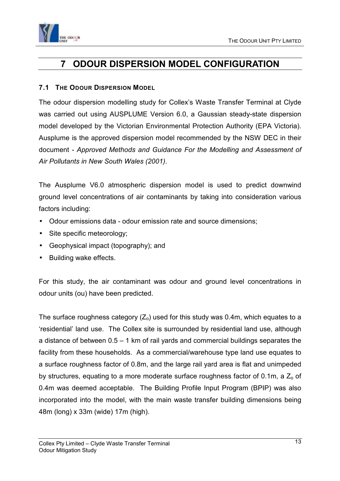<span id="page-12-0"></span>

## **7 ODOUR DISPERSION MODEL CONFIGURATION**

#### **7.1 THE ODOUR DISPERSION MODEL**

The odour dispersion modelling study for Collex's Waste Transfer Terminal at Clyde was carried out using AUSPLUME Version 6.0, a Gaussian steady-state dispersion model developed by the Victorian Environmental Protection Authority (EPA Victoria). Ausplume is the approved dispersion model recommended by the NSW DEC in their document - *Approved Methods and Guidance For the Modelling and Assessment of Air Pollutants in New South Wales (2001)*.

The Ausplume V6.0 atmospheric dispersion model is used to predict downwind ground level concentrations of air contaminants by taking into consideration various factors including:

- Odour emissions data odour emission rate and source dimensions;
- Site specific meteorology;
- Geophysical impact (topography); and
- Building wake effects.

For this study, the air contaminant was odour and ground level concentrations in odour units (ou) have been predicted.

The surface roughness category  $(Z_0)$  used for this study was 0.4m, which equates to a 'residential' land use. The Collex site is surrounded by residential land use, although a distance of between 0.5 – 1 km of rail yards and commercial buildings separates the facility from these households. As a commercial/warehouse type land use equates to a surface roughness factor of 0.8m, and the large rail yard area is flat and unimpeded by structures, equating to a more moderate surface roughness factor of 0.1m, a  $Z_0$  of 0.4m was deemed acceptable. The Building Profile Input Program (BPIP) was also incorporated into the model, with the main waste transfer building dimensions being 48m (long) x 33m (wide) 17m (high).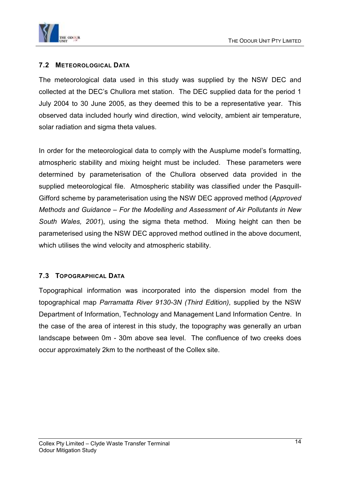<span id="page-13-0"></span>

#### **7.2 METEOROLOGICAL DATA**

The meteorological data used in this study was supplied by the NSW DEC and collected at the DEC's Chullora met station. The DEC supplied data for the period 1 July 2004 to 30 June 2005, as they deemed this to be a representative year. This observed data included hourly wind direction, wind velocity, ambient air temperature, solar radiation and sigma theta values.

In order for the meteorological data to comply with the Ausplume model's formatting, atmospheric stability and mixing height must be included. These parameters were determined by parameterisation of the Chullora observed data provided in the supplied meteorological file. Atmospheric stability was classified under the Pasquill-Gifford scheme by parameterisation using the NSW DEC approved method (*Approved Methods and Guidance – For the Modelling and Assessment of Air Pollutants in New South Wales, 2001*), using the sigma theta method. Mixing height can then be parameterised using the NSW DEC approved method outlined in the above document, which utilises the wind velocity and atmospheric stability.

#### **7.3 TOPOGRAPHICAL DATA**

Topographical information was incorporated into the dispersion model from the topographical map *Parramatta River 9130-3N (Third Edition)*, supplied by the NSW Department of Information, Technology and Management Land Information Centre. In the case of the area of interest in this study, the topography was generally an urban landscape between 0m - 30m above sea level. The confluence of two creeks does occur approximately 2km to the northeast of the Collex site.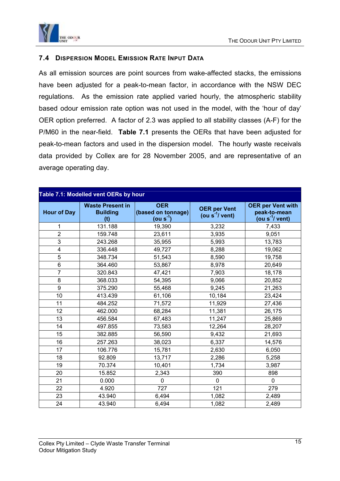<span id="page-14-0"></span>

#### **7.4 DISPERSION MODEL EMISSION RATE INPUT DATA**

As all emission sources are point sources from wake-affected stacks, the emissions have been adjusted for a peak-to-mean factor, in accordance with the NSW DEC regulations. As the emission rate applied varied hourly, the atmospheric stability based odour emission rate option was not used in the model, with the 'hour of day' OER option preferred. A factor of 2.3 was applied to all stability classes (A-F) for the P/M60 in the near-field. **Table 7.1** presents the OERs that have been adjusted for peak-to-mean factors and used in the dispersion model. The hourly waste receivals data provided by Collex are for 28 November 2005, and are representative of an average operating day.

#### **Table 7.1: Modelled vent OERs by hour**

| <b>Hour of Day</b>      | <b>Waste Present in</b><br><b>Building</b><br>(t) | <b>OER</b><br>(based on tonnage)<br>(ou s $^{-1}$ ) | <b>OER per Vent</b><br>(ou $s^{-1}/$ vent) | <b>OER per Vent with</b><br>peak-to-mean<br>(ou $s^{-1}/$ vent) |
|-------------------------|---------------------------------------------------|-----------------------------------------------------|--------------------------------------------|-----------------------------------------------------------------|
| 1                       | 131.188                                           | 19,390                                              | 3,232                                      | 7,433                                                           |
| $\overline{2}$          | 159.748                                           | 23,611                                              | 3,935                                      | 9,051                                                           |
| 3                       | 243.268                                           | 35,955                                              | 5,993                                      | 13,783                                                          |
| $\overline{\mathbf{4}}$ | 336.448                                           | 49,727                                              | 8,288                                      | 19,062                                                          |
| 5                       | 348.734                                           | 51,543                                              | 8,590                                      | 19,758                                                          |
| 6                       | 364.460                                           | 53,867                                              | 8,978                                      | 20,649                                                          |
| $\overline{7}$          | 320.843                                           | 47,421                                              | 7,903                                      | 18,178                                                          |
| 8                       | 368.033                                           | 54,395                                              | 9,066                                      | 20,852                                                          |
| 9                       | 375.290                                           | 55,468                                              | 9,245                                      | 21,263                                                          |
| 10                      | 413.439                                           | 61,106                                              | 10,184                                     | 23,424                                                          |
| 11                      | 484.252                                           | 71,572                                              | 11,929                                     | 27,436                                                          |
| 12                      | 462.000                                           | 68,284                                              | 11,381                                     | 26,175                                                          |
| 13                      | 456.584                                           | 67,483                                              | 11,247                                     | 25,869                                                          |
| 14                      | 497.855                                           | 73,583                                              | 12,264                                     | 28,207                                                          |
| 15                      | 382.885                                           | 56,590                                              | 9,432                                      | 21,693                                                          |
| 16                      | 257.263                                           | 38,023                                              | 6,337                                      | 14,576                                                          |
| 17                      | 106.776                                           | 15,781                                              | 2,630                                      | 6,050                                                           |
| 18                      | 92.809                                            | 13,717                                              | 2,286                                      | 5,258                                                           |
| 19                      | 70.374                                            | 10,401                                              | 1,734                                      | 3,987                                                           |
| 20                      | 15.852                                            | 2,343                                               | 390                                        | 898                                                             |
| 21                      | 0.000                                             | $\Omega$                                            | $\Omega$                                   | $\Omega$                                                        |
| 22                      | 4.920                                             | 727                                                 | 121                                        | 279                                                             |
| 23                      | 43.940                                            | 6,494                                               | 1,082                                      | 2,489                                                           |
| 24                      | 43.940                                            | 6,494                                               | 1,082                                      | 2,489                                                           |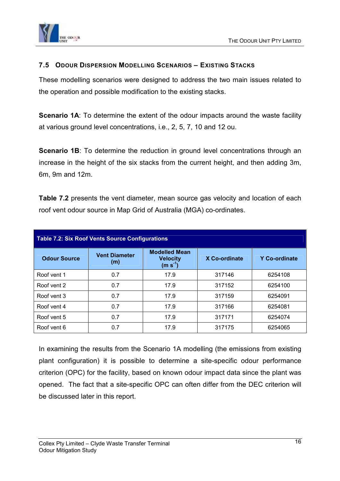<span id="page-15-0"></span>

#### **7.5 ODOUR DISPERSION MODELLING SCENARIOS – EXISTING STACKS**

These modelling scenarios were designed to address the two main issues related to the operation and possible modification to the existing stacks.

**Scenario 1A:** To determine the extent of the odour impacts around the waste facility at various ground level concentrations, i.e., 2, 5, 7, 10 and 12 ou.

**Scenario 1B**: To determine the reduction in ground level concentrations through an increase in the height of the six stacks from the current height, and then adding 3m, 6m, 9m and 12m.

**Table 7.2** presents the vent diameter, mean source gas velocity and location of each roof vent odour source in Map Grid of Australia (MGA) co-ordinates.

| <b>Table 7.2: Six Roof Vents Source Configurations</b> |                             |                                                      |               |               |  |  |  |  |
|--------------------------------------------------------|-----------------------------|------------------------------------------------------|---------------|---------------|--|--|--|--|
| <b>Odour Source</b>                                    | <b>Vent Diameter</b><br>(m) | <b>Modelled Mean</b><br><b>Velocity</b><br>$(m s-1)$ | X Co-ordinate | Y Co-ordinate |  |  |  |  |
| Roof vent 1                                            | 0.7                         | 17.9                                                 | 317146        | 6254108       |  |  |  |  |
| Roof vent 2                                            | 0.7                         | 17.9                                                 | 317152        | 6254100       |  |  |  |  |
| Roof vent 3                                            | 0.7                         | 17.9                                                 | 317159        | 6254091       |  |  |  |  |
| Roof vent 4                                            | 0.7                         | 17.9                                                 | 317166        | 6254081       |  |  |  |  |
| Roof vent 5                                            | 0.7                         | 17.9                                                 | 317171        | 6254074       |  |  |  |  |
| Roof vent 6                                            | 0.7                         | 17.9                                                 | 317175        | 6254065       |  |  |  |  |

In examining the results from the Scenario 1A modelling (the emissions from existing plant configuration) it is possible to determine a site-specific odour performance criterion (OPC) for the facility, based on known odour impact data since the plant was opened. The fact that a site-specific OPC can often differ from the DEC criterion will be discussed later in this report.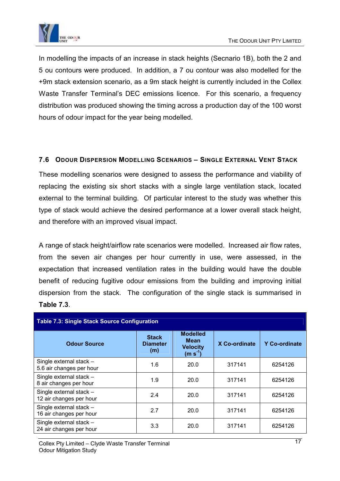<span id="page-16-0"></span>

In modelling the impacts of an increase in stack heights (Secnario 1B), both the 2 and 5 ou contours were produced. In addition, a 7 ou contour was also modelled for the +9m stack extension scenario, as a 9m stack height is currently included in the Collex Waste Transfer Terminal's DEC emissions licence. For this scenario, a frequency distribution was produced showing the timing across a production day of the 100 worst hours of odour impact for the year being modelled.

#### **7.6 ODOUR DISPERSION MODELLING SCENARIOS – SINGLE EXTERNAL VENT STACK**

These modelling scenarios were designed to assess the performance and viability of replacing the existing six short stacks with a single large ventilation stack, located external to the terminal building. Of particular interest to the study was whether this type of stack would achieve the desired performance at a lower overall stack height, and therefore with an improved visual impact.

A range of stack height/airflow rate scenarios were modelled. Increased air flow rates, from the seven air changes per hour currently in use, were assessed, in the expectation that increased ventilation rates in the building would have the double benefit of reducing fugitive odour emissions from the building and improving initial dispersion from the stack. The configuration of the single stack is summarised in **Table 7.3**.

| <b>Table 7.3: Single Stack Source Configuration</b> |                                        |                                                         |               |               |  |  |  |  |
|-----------------------------------------------------|----------------------------------------|---------------------------------------------------------|---------------|---------------|--|--|--|--|
| <b>Odour Source</b>                                 | <b>Stack</b><br><b>Diameter</b><br>(m) | <b>Modelled</b><br>Mean<br><b>Velocity</b><br>$(m s-1)$ | X Co-ordinate | Y Co-ordinate |  |  |  |  |
| Single external stack -<br>5.6 air changes per hour | 1.6                                    | 20.0                                                    | 317141        | 6254126       |  |  |  |  |
| Single external stack -<br>8 air changes per hour   | 1.9                                    | 20.0                                                    | 317141        | 6254126       |  |  |  |  |
| Single external stack -<br>12 air changes per hour  | 2.4                                    | 20.0                                                    | 317141        | 6254126       |  |  |  |  |
| Single external stack -<br>16 air changes per hour  | 2.7                                    | 20.0                                                    | 317141        | 6254126       |  |  |  |  |
| Single external stack -<br>24 air changes per hour  | 3.3                                    | 20.0                                                    | 317141        | 6254126       |  |  |  |  |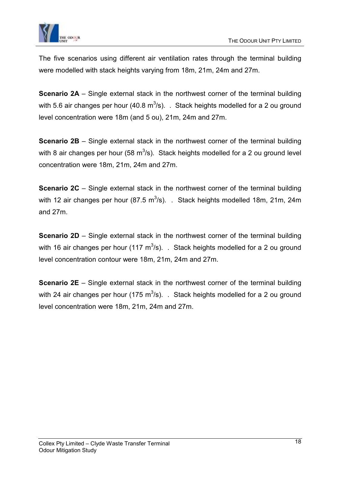

The five scenarios using different air ventilation rates through the terminal building were modelled with stack heights varying from 18m, 21m, 24m and 27m.

**Scenario 2A** – Single external stack in the northwest corner of the terminal building with 5.6 air changes per hour (40.8 m<sup>3</sup>/s). . Stack heights modelled for a 2 ou ground level concentration were 18m (and 5 ou), 21m, 24m and 27m.

**Scenario 2B** – Single external stack in the northwest corner of the terminal building with 8 air changes per hour (58 m<sup>3</sup>/s). Stack heights modelled for a 2 ou ground level concentration were 18m, 21m, 24m and 27m.

**Scenario 2C** – Single external stack in the northwest corner of the terminal building with 12 air changes per hour (87.5 m<sup>3</sup>/s). . Stack heights modelled 18m, 21m, 24m and 27m.

**Scenario 2D** – Single external stack in the northwest corner of the terminal building with 16 air changes per hour (117 m<sup>3</sup>/s). . Stack heights modelled for a 2 ou ground level concentration contour were 18m, 21m, 24m and 27m.

**Scenario 2E** – Single external stack in the northwest corner of the terminal building with 24 air changes per hour (175 m<sup>3</sup>/s). . Stack heights modelled for a 2 ou ground level concentration were 18m, 21m, 24m and 27m.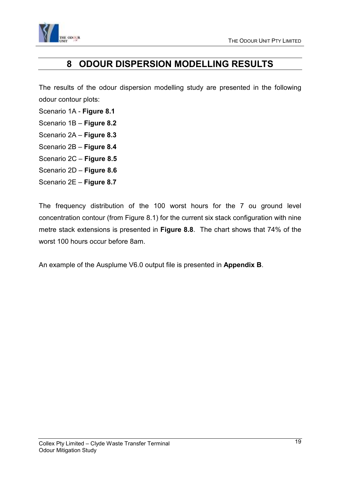<span id="page-18-0"></span>

## **8 ODOUR DISPERSION MODELLING RESULTS**

The results of the odour dispersion modelling study are presented in the following odour contour plots:

- Scenario 1A **Figure 8.1**
- Scenario 1B **Figure 8.2**
- Scenario 2A **Figure 8.3**
- Scenario 2B **Figure 8.4**
- Scenario 2C **Figure 8.5**
- Scenario 2D **Figure 8.6**
- Scenario 2E **Figure 8.7**

The frequency distribution of the 100 worst hours for the 7 ou ground level concentration contour (from Figure 8.1) for the current six stack configuration with nine metre stack extensions is presented in **Figure 8.8**. The chart shows that 74% of the worst 100 hours occur before 8am.

An example of the Ausplume V6.0 output file is presented in **Appendix B**.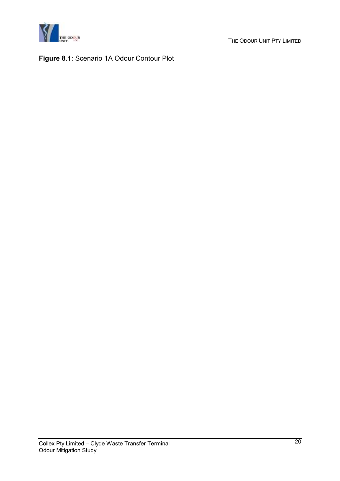

**Figure 8.1**: Scenario 1A Odour Contour Plot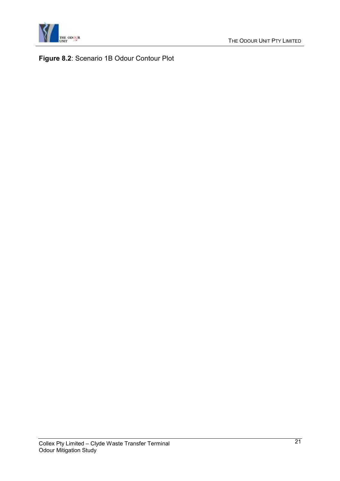

**Figure 8.2**: Scenario 1B Odour Contour Plot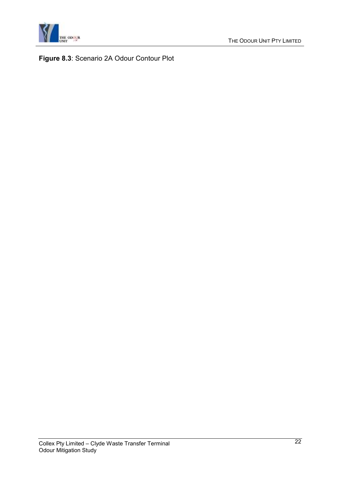

**Figure 8.3**: Scenario 2A Odour Contour Plot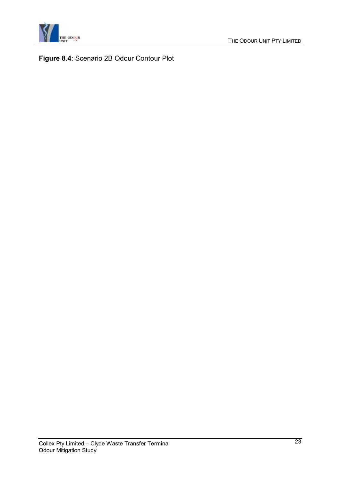

**Figure 8.4**: Scenario 2B Odour Contour Plot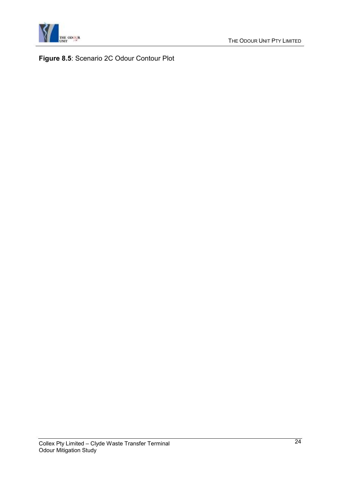

**Figure 8.5**: Scenario 2C Odour Contour Plot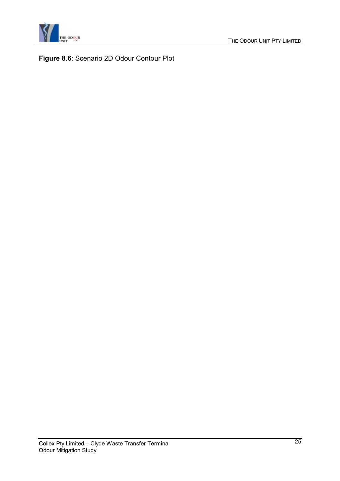

**Figure 8.6**: Scenario 2D Odour Contour Plot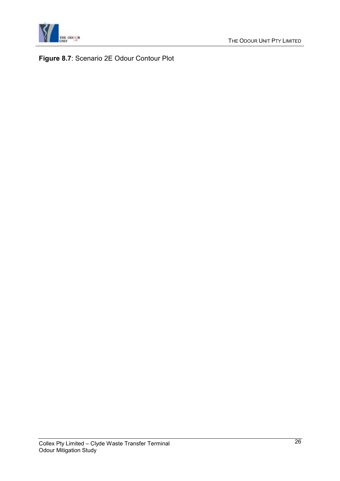

**Figure 8.7**: Scenario 2E Odour Contour Plot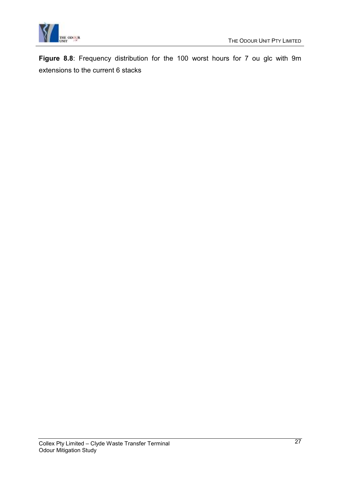



**Figure 8.8**: Frequency distribution for the 100 worst hours for 7 ou glc with 9m extensions to the current 6 stacks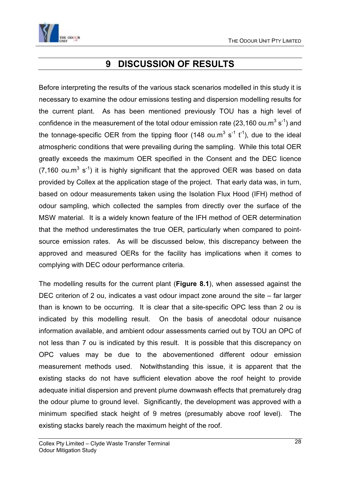<span id="page-27-0"></span>

## **9 DISCUSSION OF RESULTS**

Before interpreting the results of the various stack scenarios modelled in this study it is necessary to examine the odour emissions testing and dispersion modelling results for the current plant. As has been mentioned previously TOU has a high level of confidence in the measurement of the total odour emission rate (23,160 ou.m<sup>3</sup> s<sup>-1</sup>) and the tonnage-specific OER from the tipping floor (148 ou.m<sup>3</sup> s<sup>-1</sup> t<sup>-1</sup>), due to the ideal atmospheric conditions that were prevailing during the sampling. While this total OER greatly exceeds the maximum OER specified in the Consent and the DEC licence  $(7,160 \text{ ou.m}^3 \text{ s}^{-1})$  it is highly significant that the approved OER was based on data provided by Collex at the application stage of the project. That early data was, in turn, based on odour measurements taken using the Isolation Flux Hood (IFH) method of odour sampling, which collected the samples from directly over the surface of the MSW material. It is a widely known feature of the IFH method of OER determination that the method underestimates the true OER, particularly when compared to pointsource emission rates. As will be discussed below, this discrepancy between the approved and measured OERs for the facility has implications when it comes to complying with DEC odour performance criteria.

The modelling results for the current plant (**Figure 8.1**), when assessed against the DEC criterion of 2 ou, indicates a vast odour impact zone around the site – far larger than is known to be occurring. It is clear that a site-specific OPC less than 2 ou is indicated by this modelling result. On the basis of anecdotal odour nuisance information available, and ambient odour assessments carried out by TOU an OPC of not less than 7 ou is indicated by this result. It is possible that this discrepancy on OPC values may be due to the abovementioned different odour emission measurement methods used. Notwithstanding this issue, it is apparent that the existing stacks do not have sufficient elevation above the roof height to provide adequate initial dispersion and prevent plume downwash effects that prematurely drag the odour plume to ground level. Significantly, the development was approved with a minimum specified stack height of 9 metres (presumably above roof level). The existing stacks barely reach the maximum height of the roof.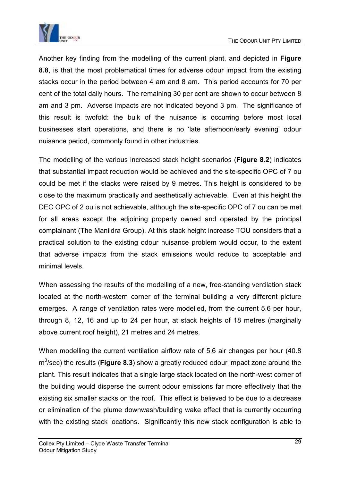

Another key finding from the modelling of the current plant, and depicted in **Figure 8.8**, is that the most problematical times for adverse odour impact from the existing stacks occur in the period between 4 am and 8 am. This period accounts for 70 per cent of the total daily hours. The remaining 30 per cent are shown to occur between 8 am and 3 pm. Adverse impacts are not indicated beyond 3 pm. The significance of this result is twofold: the bulk of the nuisance is occurring before most local businesses start operations, and there is no 'late afternoon/early evening' odour nuisance period, commonly found in other industries.

The modelling of the various increased stack height scenarios (**Figure 8.2**) indicates that substantial impact reduction would be achieved and the site-specific OPC of 7 ou could be met if the stacks were raised by 9 metres. This height is considered to be close to the maximum practically and aesthetically achievable. Even at this height the DEC OPC of 2 ou is not achievable, although the site-specific OPC of 7 ou can be met for all areas except the adjoining property owned and operated by the principal complainant (The Manildra Group). At this stack height increase TOU considers that a practical solution to the existing odour nuisance problem would occur, to the extent that adverse impacts from the stack emissions would reduce to acceptable and minimal levels.

When assessing the results of the modelling of a new, free-standing ventilation stack located at the north-western corner of the terminal building a very different picture emerges. A range of ventilation rates were modelled, from the current 5.6 per hour, through 8, 12, 16 and up to 24 per hour, at stack heights of 18 metres (marginally above current roof height), 21 metres and 24 metres.

When modelling the current ventilation airflow rate of 5.6 air changes per hour (40.8 m<sup>3</sup> /sec) the results (**Figure 8.3**) show a greatly reduced odour impact zone around the plant. This result indicates that a single large stack located on the north-west corner of the building would disperse the current odour emissions far more effectively that the existing six smaller stacks on the roof. This effect is believed to be due to a decrease or elimination of the plume downwash/building wake effect that is currently occurring with the existing stack locations. Significantly this new stack configuration is able to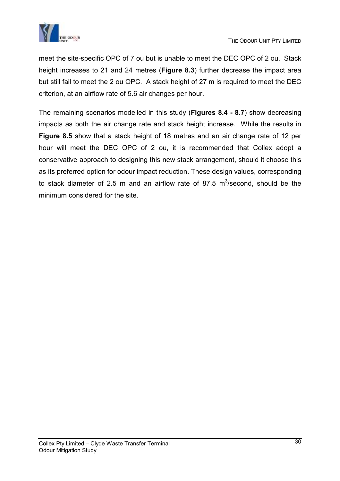

meet the site-specific OPC of 7 ou but is unable to meet the DEC OPC of 2 ou. Stack height increases to 21 and 24 metres (**Figure 8.3**) further decrease the impact area but still fail to meet the 2 ou OPC. A stack height of 27 m is required to meet the DEC criterion, at an airflow rate of 5.6 air changes per hour.

The remaining scenarios modelled in this study (**Figures 8.4 - 8.7**) show decreasing impacts as both the air change rate and stack height increase. While the results in **Figure 8.5** show that a stack height of 18 metres and an air change rate of 12 per hour will meet the DEC OPC of 2 ou, it is recommended that Collex adopt a conservative approach to designing this new stack arrangement, should it choose this as its preferred option for odour impact reduction. These design values, corresponding to stack diameter of 2.5 m and an airflow rate of 87.5  $m^3$ /second, should be the minimum considered for the site.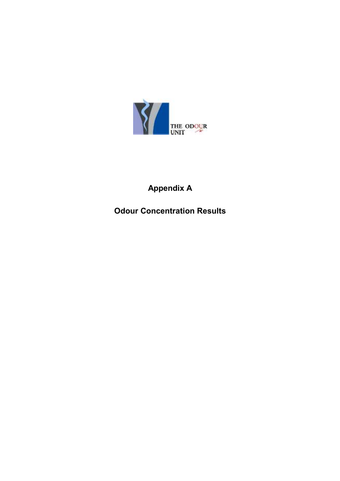

## **Appendix A**

## **Odour Concentration Results**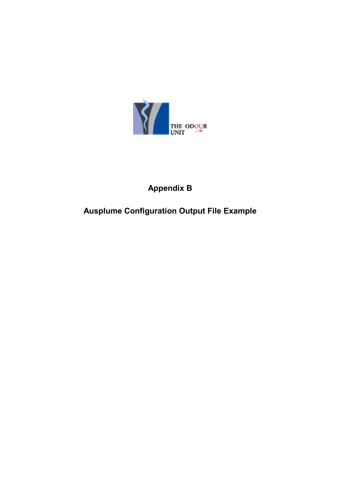

## **Appendix B**

## **Ausplume Configuration Output File Example**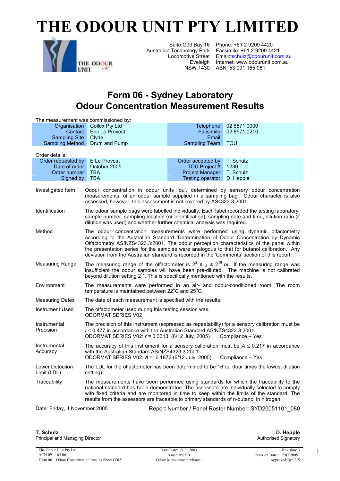# **THE ODOUR UNIT PTY LIMITED**



Suite G03 Bay 16 Phone: +61 2 9209 4420 Australian Technology Park Facsimile: +61 2 9209 4421 Locomotive Street Email: tschulz@odourunit.com.au Eveleigh Internet: www.odourunit.com.au NSW 1430 ABN: 53 091 165 061

## **Form 06 - Sydney Laboratory Odour Concentration Measurement Results**

|                                                                                       | The measurement was commissioned by:                                                                                                                                                                                                                                                                                                                                                                                                                               |                         |                  |  |  |  |
|---------------------------------------------------------------------------------------|--------------------------------------------------------------------------------------------------------------------------------------------------------------------------------------------------------------------------------------------------------------------------------------------------------------------------------------------------------------------------------------------------------------------------------------------------------------------|-------------------------|------------------|--|--|--|
| Organisation                                                                          | <b>Collex Pty Ltd</b>                                                                                                                                                                                                                                                                                                                                                                                                                                              | Telephone               | 02 8571 0000     |  |  |  |
| Contact                                                                               | Eric Le Provost                                                                                                                                                                                                                                                                                                                                                                                                                                                    | Facsimile               | 02 8571 0210     |  |  |  |
| <b>Sampling Site</b>                                                                  | Clyde                                                                                                                                                                                                                                                                                                                                                                                                                                                              | Email                   |                  |  |  |  |
| <b>Sampling Method</b>                                                                | Drum and Pump                                                                                                                                                                                                                                                                                                                                                                                                                                                      | Sampling Team           | <b>TOU</b>       |  |  |  |
| Order details:                                                                        |                                                                                                                                                                                                                                                                                                                                                                                                                                                                    |                         |                  |  |  |  |
| Order requested by                                                                    | E Le Provost                                                                                                                                                                                                                                                                                                                                                                                                                                                       | Order accepted by       | T. Schulz        |  |  |  |
| Date of order                                                                         | October 2005                                                                                                                                                                                                                                                                                                                                                                                                                                                       | <b>TOU Project #</b>    | 1230             |  |  |  |
| Order number                                                                          | <b>TBA</b>                                                                                                                                                                                                                                                                                                                                                                                                                                                         | Project Manager         | T. Schulz        |  |  |  |
| Signed by                                                                             | <b>TBA</b>                                                                                                                                                                                                                                                                                                                                                                                                                                                         | <b>Testing operator</b> | D. Hepple        |  |  |  |
| Investigated Item                                                                     | Odour concentration in odour units 'ou', determined by sensory odour concentration<br>measurements, of an odour sample supplied in a sampling bag. Odour character is also<br>assessed, however, this assessment is not covered by AS4323.3:2001.                                                                                                                                                                                                                  |                         |                  |  |  |  |
| Identification                                                                        | The odour sample bags were labelled individually. Each label recorded the testing laboratory,<br>sample number, sampling location (or Identification), sampling date and time, dilution ratio (if<br>dilution was used) and whether further chemical analysis was required.                                                                                                                                                                                        |                         |                  |  |  |  |
| Method                                                                                | The odour concentration measurements were performed using dynamic olfactometry<br>according to the Australian Standard 'Determination of Odour Concentration by Dynamic<br>Olfactometry AS/NZS4323.3:2001. The odour perception characteristics of the panel within<br>the presentation series for the samples were analogous to that for butanol calibration. Any<br>deviation from the Australian standard is recorded in the 'Comments' section of this report. |                         |                  |  |  |  |
| <b>Measuring Range</b>                                                                | The measuring range of the olfactometer is $2^2 \le \chi \le 2^{18}$ ou. If the measuring range was<br>insufficient the odour samples will have been pre-diluted. The machine is not calibrated<br>beyond dilution setting $2^{17}$ . This is specifically mentioned with the results.                                                                                                                                                                             |                         |                  |  |  |  |
| Environment                                                                           | The measurements were performed in an air- and odour-conditioned room. The room<br>temperature is maintained between 22°C and 25°C.                                                                                                                                                                                                                                                                                                                                |                         |                  |  |  |  |
| <b>Measuring Dates</b>                                                                | The date of each measurement is specified with the results.                                                                                                                                                                                                                                                                                                                                                                                                        |                         |                  |  |  |  |
| <b>Instrument Used</b>                                                                | The olfactometer used during this testing session was:<br><b>ODORMAT SERIES V02</b>                                                                                                                                                                                                                                                                                                                                                                                |                         |                  |  |  |  |
| Instrumental<br>Precision                                                             | The precision of this instrument (expressed as repeatability) for a sensory calibration must be<br>$r \leq 0.477$ in accordance with the Australian Standard AS/NZS4323.3:2001.<br>ODORMAT SERIES V02: r = 0.3313 (6/12 July, 2005)                                                                                                                                                                                                                                |                         | Compliance - Yes |  |  |  |
| Instrumental<br>Accuracy                                                              | The accuracy of this instrument for a sensory calibration must be $A \le 0.217$ in accordance<br>with the Australian Standard AS/NZS4323.3:2001.<br>ODORMAT SERIES V02: A = 0.1872 (6/12 July, 2005)                                                                                                                                                                                                                                                               |                         | Compliance - Yes |  |  |  |
| <b>Lower Detection</b><br>Limit (LDL)                                                 | The LDL for the olfactometer has been determined to be 16 ou (four times the lowest dilution<br>setting)                                                                                                                                                                                                                                                                                                                                                           |                         |                  |  |  |  |
| Traceability                                                                          | The measurements have been performed using standards for which the traceability to the<br>national standard has been demonstrated. The assessors are individually selected to comply<br>with fixed criteria and are monitored in time to keep within the limits of the standard. The<br>results from the assessors are traceable to primary standards of n-butanol in nitrogen.                                                                                    |                         |                  |  |  |  |
| Date: Friday, 4 November 2005<br>Report Number / Panel Roster Number: SYD20051101 080 |                                                                                                                                                                                                                                                                                                                                                                                                                                                                    |                         |                  |  |  |  |

**T. Schulz**  Principal and Managing Director

**D. Hepple**  Authorised Signatory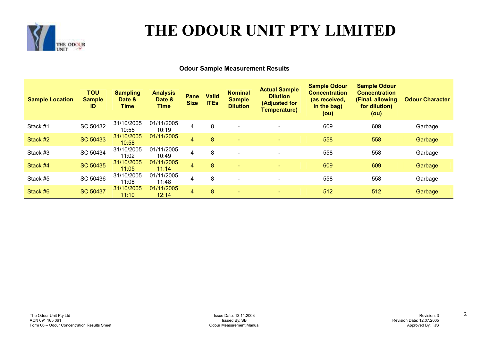

# **THE ODOUR UNIT PTY LIMITED**

#### **Odour Sample Measurement Results**

| <b>Sample Location</b> | ΤΟυ<br><b>Sample</b><br>ID | <b>Sampling</b><br>Date &<br>Time | <b>Analysis</b><br>Date &<br>Time | Pane<br><b>Size</b> | <b>Valid</b><br><b>ITEs</b> | <b>Nominal</b><br><b>Sample</b><br><b>Dilution</b> | <b>Actual Sample</b><br><b>Dilution</b><br>(Adjusted for<br><b>Temperature)</b> | <b>Sample Odour</b><br><b>Concentration</b><br>(as received,<br>in the bag)<br>(ou) | <b>Sample Odour</b><br><b>Concentration</b><br>(Final, allowing<br>for dilution)<br>(ou) | <b>Odour Character</b> |
|------------------------|----------------------------|-----------------------------------|-----------------------------------|---------------------|-----------------------------|----------------------------------------------------|---------------------------------------------------------------------------------|-------------------------------------------------------------------------------------|------------------------------------------------------------------------------------------|------------------------|
| Stack #1               | SC 50432                   | 31/10/2005<br>10:55               | 01/11/2005<br>10:19               | 4                   | 8                           | $\overline{\phantom{0}}$                           | $\overline{\phantom{a}}$                                                        | 609                                                                                 | 609                                                                                      | Garbage                |
| Stack #2               | SC 50433                   | 31/10/2005<br>10:58               | 01/11/2005                        | 4                   | 8                           |                                                    | $\equiv$                                                                        | 558                                                                                 | 558                                                                                      | Garbage                |
| Stack #3               | SC 50434                   | 31/10/2005<br>11:02               | 01/11/2005<br>10:49               | 4                   | 8                           |                                                    | $\overline{\phantom{a}}$                                                        | 558                                                                                 | 558                                                                                      | Garbage                |
| Stack #4               | SC 50435                   | 31/10/2005<br>11:05               | 01/11/2005<br>11:14               | $\overline{4}$      | 8                           | $\overline{\phantom{a}}$                           | $\overline{\phantom{0}}$                                                        | 609                                                                                 | 609                                                                                      | Garbage                |
| Stack #5               | SC 50436                   | 31/10/2005<br>11:08               | 01/11/2005<br>11:48               | $\overline{4}$      | 8                           |                                                    | $\overline{\phantom{a}}$                                                        | 558                                                                                 | 558                                                                                      | Garbage                |
| Stack #6               | <b>SC 50437</b>            | 31/10/2005<br>11:10               | 01/11/2005<br>12:14               | 4                   | 8                           | $\overline{\phantom{a}}$                           | $\sim$                                                                          | 512                                                                                 | 512                                                                                      | Garbage                |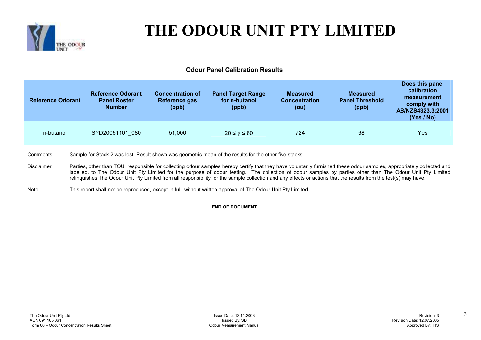

# **THE ODOUR UNIT PTY LIMITED**

#### **Odour Panel Calibration Results**

| <b>Reference Odorant</b> | <b>Reference Odorant</b><br><b>Panel Roster</b><br><b>Number</b> | <b>Concentration of</b><br>Reference gas<br>(ppb) | <b>Panel Target Range</b><br>for n-butanol<br>(ppb) | <b>Measured</b><br><b>Concentration</b><br>(ou) | <b>Measured</b><br><b>Panel Threshold</b><br>(ppb) | Does this panel<br>calibration<br>measurement<br>comply with<br>AS/NZS4323.3:2001<br>(Yes / No) |
|--------------------------|------------------------------------------------------------------|---------------------------------------------------|-----------------------------------------------------|-------------------------------------------------|----------------------------------------------------|-------------------------------------------------------------------------------------------------|
| n-butanol                | SYD20051101 080                                                  | 51,000                                            | $20 \leq \chi \leq 80$                              | 724                                             | 68                                                 | Yes                                                                                             |

**Comments** Sample for Stack 2 was lost. Result shown was geometric mean of the results for the other five stacks.

- DisclaimerParties, other than TOU, responsible for collecting odour samples hereby certify that they have voluntarily furnished these odour samples, appropriately collected and labelled, to The Odour Unit Pty Limited for the purpose of odour testing. The collection of odour samples by parties other than The Odour Unit Pty Limited relinquishes The Odour Unit Pty Limited from all responsibility for the sample collection and any effects or actions that the results from the test(s) may have.
- NoteThis report shall not be reproduced, except in full, without written approval of The Odour Unit Pty Limited.

**END OF DOCUMENT**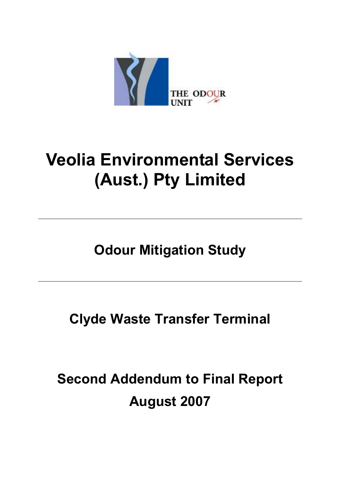

# **Veolia Environmental Services (Aust.) Pty Limited**

**Odour Mitigation Study** 

**Clyde Waste Transfer Terminal** 

**Second Addendum to Final Report August 2007**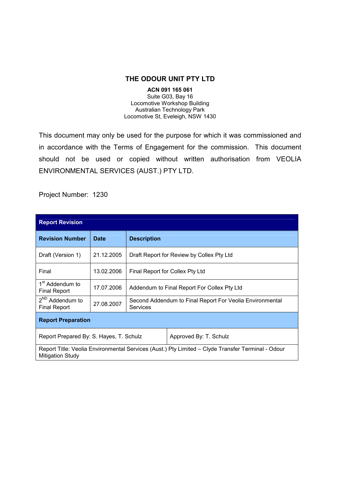#### **THE ODOUR UNIT PTY LTD**

#### **ACN 091 165 061**  Suite G03, Bay 16 Locomotive Workshop Building Australian Technology Park Locomotive St, Eveleigh, NSW 1430

This document may only be used for the purpose for which it was commissioned and in accordance with the Terms of Engagement for the commission. This document should not be used or copied without written authorisation from VEOLIA ENVIRONMENTAL SERVICES (AUST.) PTY LTD.

Project Number: 1230

| <b>Report Revision</b>                                                                                                       |             |                                                                      |                        |  |
|------------------------------------------------------------------------------------------------------------------------------|-------------|----------------------------------------------------------------------|------------------------|--|
| <b>Revision Number</b>                                                                                                       | <b>Date</b> | <b>Description</b>                                                   |                        |  |
| Draft (Version 1)                                                                                                            | 21.12.2005  | Draft Report for Review by Collex Pty Ltd                            |                        |  |
| Final                                                                                                                        | 13.02.2006  | Final Report for Collex Pty Ltd                                      |                        |  |
| 1 <sup>st</sup> Addendum to<br>Final Report                                                                                  | 17.07.2006  | Addendum to Final Report For Collex Pty Ltd                          |                        |  |
| 2 <sup>ND</sup> Addendum to<br><b>Final Report</b>                                                                           | 27.08.2007  | Second Addendum to Final Report For Veolia Environmental<br>Services |                        |  |
| <b>Report Preparation</b>                                                                                                    |             |                                                                      |                        |  |
| Report Prepared By: S. Hayes, T. Schulz                                                                                      |             |                                                                      | Approved By: T. Schulz |  |
| Report Title: Veolia Environmental Services (Aust.) Pty Limited – Clyde Transfer Terminal - Odour<br><b>Mitigation Study</b> |             |                                                                      |                        |  |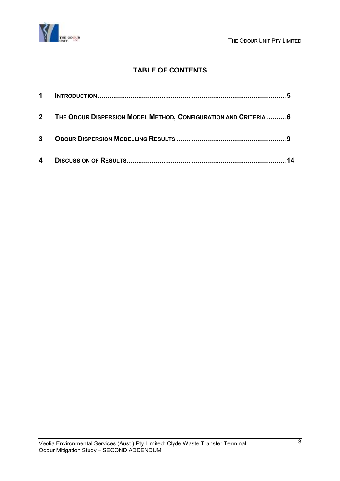

### **TABLE OF CONTENTS**

| 4           |                                                                    | 14 |
|-------------|--------------------------------------------------------------------|----|
| 3           |                                                                    |    |
|             | 2 THE ODOUR DISPERSION MODEL METHOD, CONFIGURATION AND CRITERIA  6 |    |
| $\mathbf 1$ |                                                                    |    |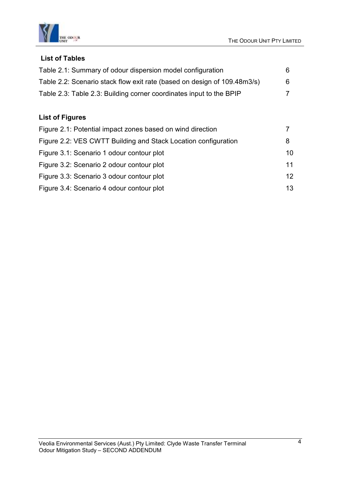

#### **List of Tables**

| Table 2.1: Summary of odour dispersion model configuration               | 6. |
|--------------------------------------------------------------------------|----|
| Table 2.2: Scenario stack flow exit rate (based on design of 109.48m3/s) | 6. |
| Table 2.3: Table 2.3: Building corner coordinates input to the BPIP      |    |

### **List of Figures**

| Figure 2.1: Potential impact zones based on wind direction     |                 |
|----------------------------------------------------------------|-----------------|
| Figure 2.2: VES CWTT Building and Stack Location configuration | 8               |
| Figure 3.1: Scenario 1 odour contour plot                      | 10              |
| Figure 3.2: Scenario 2 odour contour plot                      | 11              |
| Figure 3.3: Scenario 3 odour contour plot                      | 12 <sup>°</sup> |
| Figure 3.4: Scenario 4 odour contour plot                      | 13              |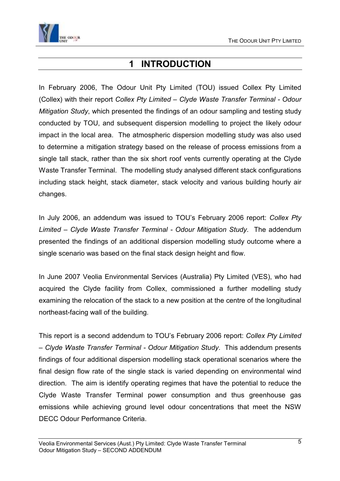<span id="page-39-0"></span>

## **1 INTRODUCTION**

In February 2006, The Odour Unit Pty Limited (TOU) issued Collex Pty Limited (Collex) with their report *Collex Pty Limited – Clyde Waste Transfer Terminal - Odour Mitigation Study*, which presented the findings of an odour sampling and testing study conducted by TOU, and subsequent dispersion modelling to project the likely odour impact in the local area. The atmospheric dispersion modelling study was also used to determine a mitigation strategy based on the release of process emissions from a single tall stack, rather than the six short roof vents currently operating at the Clyde Waste Transfer Terminal. The modelling study analysed different stack configurations including stack height, stack diameter, stack velocity and various building hourly air changes.

In July 2006, an addendum was issued to TOU's February 2006 report: *Collex Pty Limited – Clyde Waste Transfer Terminal - Odour Mitigation Study*. The addendum presented the findings of an additional dispersion modelling study outcome where a single scenario was based on the final stack design height and flow.

In June 2007 Veolia Environmental Services (Australia) Pty Limited (VES), who had acquired the Clyde facility from Collex, commissioned a further modelling study examining the relocation of the stack to a new position at the centre of the longitudinal northeast-facing wall of the building.

This report is a second addendum to TOU's February 2006 report: *Collex Pty Limited – Clyde Waste Transfer Terminal - Odour Mitigation Study*. This addendum presents findings of four additional dispersion modelling stack operational scenarios where the final design flow rate of the single stack is varied depending on environmental wind direction. The aim is identify operating regimes that have the potential to reduce the Clyde Waste Transfer Terminal power consumption and thus greenhouse gas emissions while achieving ground level odour concentrations that meet the NSW DECC Odour Performance Criteria.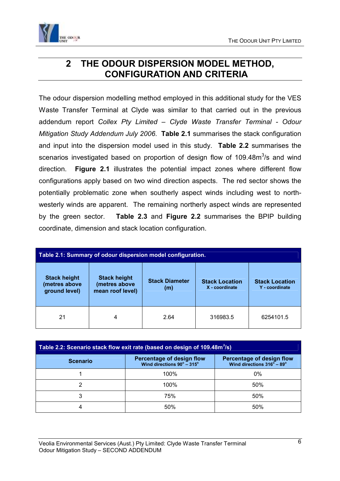<span id="page-40-0"></span>

## **2 THE ODOUR DISPERSION MODEL METHOD, CONFIGURATION AND CRITERIA**

The odour dispersion modelling method employed in this additional study for the VES Waste Transfer Terminal at Clyde was similar to that carried out in the previous addendum report *Collex Pty Limited – Clyde Waste Transfer Terminal - Odour Mitigation Study Addendum July 2006*. **Table 2.1** summarises the stack configuration and input into the dispersion model used in this study. **Table 2.2** summarises the scenarios investigated based on proportion of design flow of 109.48 $m<sup>3</sup>/s$  and wind direction. **Figure 2.1** illustrates the potential impact zones where different flow configurations apply based on two wind direction aspects. The red sector shows the potentially problematic zone when southerly aspect winds including west to northwesterly winds are apparent. The remaining northerly aspect winds are represented by the green sector. **Table 2.3** and **Figure 2.2** summarises the BPIP building coordinate, dimension and stack location configuration.

| Table 2.1: Summary of odour dispersion model configuration. |                                                          |                              |                                         |                                         |
|-------------------------------------------------------------|----------------------------------------------------------|------------------------------|-----------------------------------------|-----------------------------------------|
| <b>Stack height</b><br>(metres above<br>ground level)       | <b>Stack height</b><br>(metres above<br>mean roof level) | <b>Stack Diameter</b><br>(m) | <b>Stack Location</b><br>X - coordinate | <b>Stack Location</b><br>Y - coordinate |
| 21                                                          | 4                                                        | 2.64                         | 316983.5                                | 6254101.5                               |

| Table 2.2: Scenario stack flow exit rate (based on design of 109.48m <sup>3</sup> /s) |                                                                         |                                                                         |  |  |
|---------------------------------------------------------------------------------------|-------------------------------------------------------------------------|-------------------------------------------------------------------------|--|--|
| <b>Scenario</b>                                                                       | Percentage of design flow<br>Wind directions $90^{\circ} - 315^{\circ}$ | Percentage of design flow<br>Wind directions $316^{\circ} - 89^{\circ}$ |  |  |
|                                                                                       | 100%                                                                    | $0\%$                                                                   |  |  |
|                                                                                       | 100%                                                                    | 50%                                                                     |  |  |
| 3                                                                                     | 75%                                                                     | 50%                                                                     |  |  |
| 4                                                                                     | 50%                                                                     | 50%                                                                     |  |  |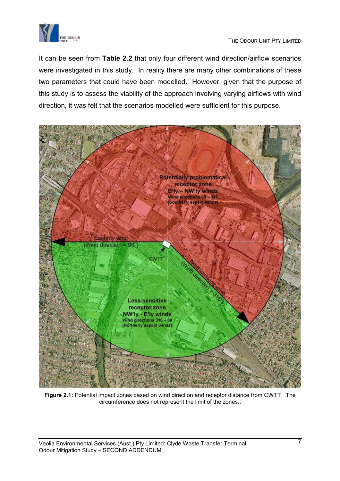

It can be seen from **Table 2.2** that only four different wind direction/airflow scenarios were investigated in this study. In reality there are many other combinations of these two parameters that could have been modelled. However, given that the purpose of this study is to assess the viability of the approach involving varying airflows with wind direction, it was felt that the scenarios modelled were sufficient for this purpose.



**Figure 2.1:** Potential impact zones based on wind direction and receptor distance from CWTT. The circumference does not represent the limit of the zones..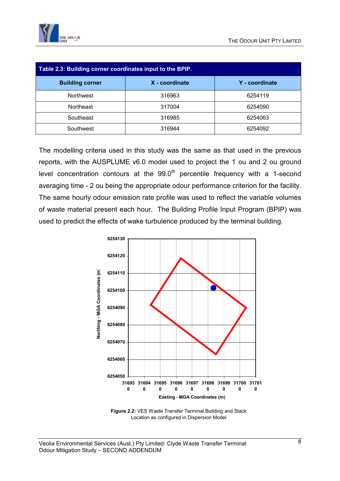

| Table 2.3: Building corner coordinates input to the BPIP. |                |                |  |
|-----------------------------------------------------------|----------------|----------------|--|
| <b>Building corner</b>                                    | X - coordinate | Y - coordinate |  |
| <b>Northwest</b>                                          | 316963         | 6254119        |  |
| <b>Northeast</b>                                          | 317004         | 6254090        |  |
| Southeast                                                 | 316985         | 6254063        |  |
| Southwest                                                 | 316944         | 6254092        |  |

The modelling criteria used in this study was the same as that used in the previous reports, with the AUSPLUME v6.0 model used to project the 1 ou and 2 ou ground level concentration contours at the  $99.0<sup>th</sup>$  percentile frequency with a 1-second averaging time - 2 ou being the appropriate odour performance criterion for the facility. The same hourly odour emission rate profile was used to reflect the variable volumes of waste material present each hour. The Building Profile Input Program (BPIP) was used to predict the effects of wake turbulence produced by the terminal building.



**Figure 2.2:** VES Waste Transfer Terminal Building and Stack Location as configured in Dispersion Model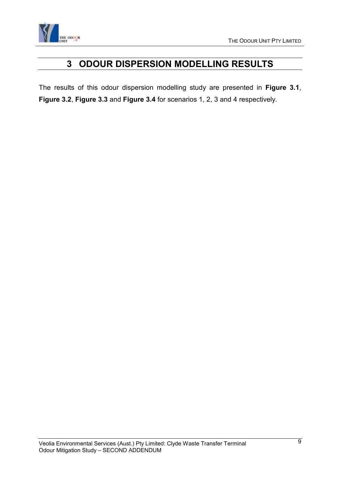<span id="page-43-0"></span>

## **3 ODOUR DISPERSION MODELLING RESULTS**

The results of this odour dispersion modelling study are presented in **Figure 3.1**, **Figure 3.2**, **Figure 3.3** and **Figure 3.4** for scenarios 1, 2, 3 and 4 respectively.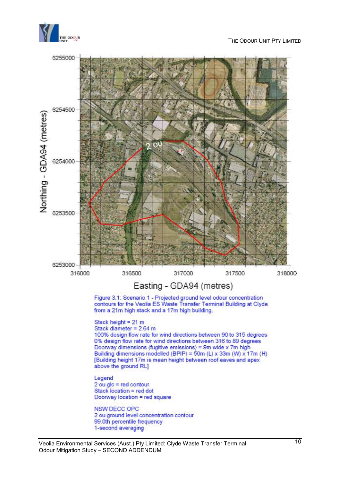





Veolia Environmental Services (Aust.) Pty Limited: Clyde Waste Transfer Terminal Odour Mitigation Study – SECOND ADDENDUM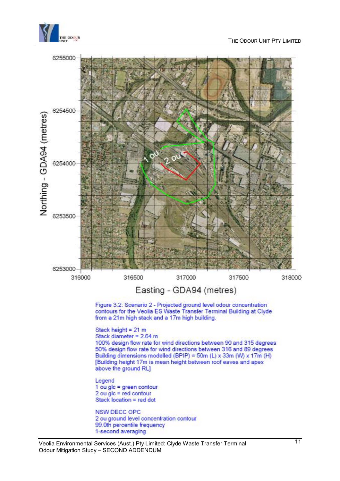

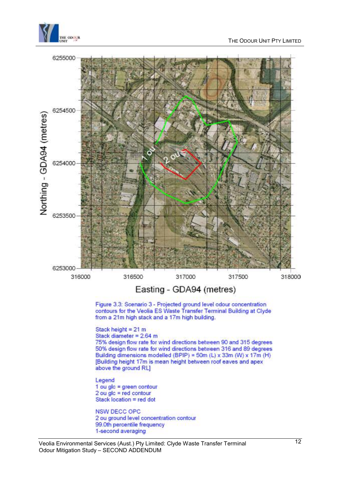

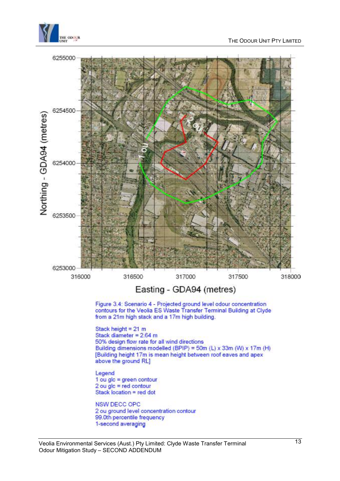

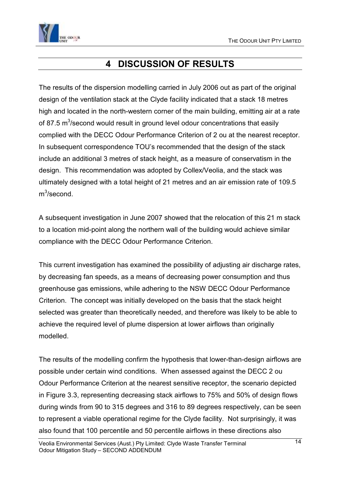<span id="page-48-0"></span>

## **4 DISCUSSION OF RESULTS**

The results of the dispersion modelling carried in July 2006 out as part of the original design of the ventilation stack at the Clyde facility indicated that a stack 18 metres high and located in the north-western corner of the main building, emitting air at a rate of 87.5 m<sup>3</sup>/second would result in ground level odour concentrations that easily complied with the DECC Odour Performance Criterion of 2 ou at the nearest receptor. In subsequent correspondence TOU's recommended that the design of the stack include an additional 3 metres of stack height, as a measure of conservatism in the design. This recommendation was adopted by Collex/Veolia, and the stack was ultimately designed with a total height of 21 metres and an air emission rate of 109.5 m<sup>3</sup>/second.

A subsequent investigation in June 2007 showed that the relocation of this 21 m stack to a location mid-point along the northern wall of the building would achieve similar compliance with the DECC Odour Performance Criterion.

This current investigation has examined the possibility of adjusting air discharge rates, by decreasing fan speeds, as a means of decreasing power consumption and thus greenhouse gas emissions, while adhering to the NSW DECC Odour Performance Criterion. The concept was initially developed on the basis that the stack height selected was greater than theoretically needed, and therefore was likely to be able to achieve the required level of plume dispersion at lower airflows than originally modelled.

The results of the modelling confirm the hypothesis that lower-than-design airflows are possible under certain wind conditions. When assessed against the DECC 2 ou Odour Performance Criterion at the nearest sensitive receptor, the scenario depicted in Figure 3.3, representing decreasing stack airflows to 75% and 50% of design flows during winds from 90 to 315 degrees and 316 to 89 degrees respectively, can be seen to represent a viable operational regime for the Clyde facility. Not surprisingly, it was also found that 100 percentile and 50 percentile airflows in these directions also